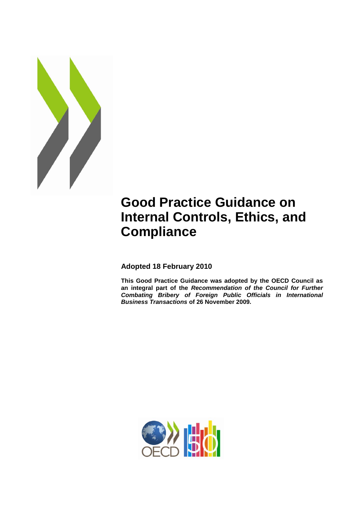

# **Good Practice Guidance on Internal Controls, Ethics, and Compliance**

**Adopted 18 February 2010**

**This Good Practice Guidance was adopted by the OECD Council as an integral part of the** *Recommendation of the Council for Further Combating Bribery of Foreign Public Officials in International Business Transactions* **of 26 November 2009.**

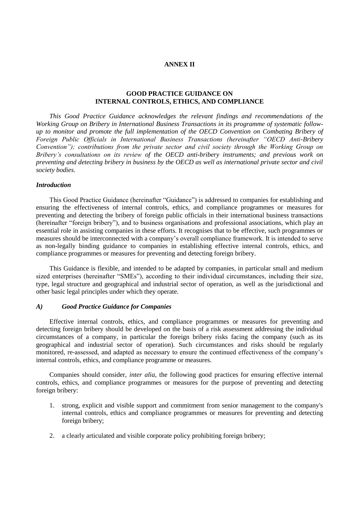### **ANNEX II**

#### **GOOD PRACTICE GUIDANCE ON INTERNAL CONTROLS, ETHICS, AND COMPLIANCE**

*This Good Practice Guidance acknowledges the relevant findings and recommendations of the Working Group on Bribery in International Business Transactions in its programme of systematic followup to monitor and promote the full implementation of the OECD Convention on Combating Bribery of Foreign Public Officials in International Business Transactions (hereinafter "OECD Anti-Bribery Convention"); contributions from the private sector and civil society through the Working Group on Bribery's consultations on its review of the OECD anti-bribery instruments; and previous work on preventing and detecting bribery in business by the OECD as well as international private sector and civil society bodies.* 

#### *Introduction*

This Good Practice Guidance (hereinafter "Guidance") is addressed to companies for establishing and ensuring the effectiveness of internal controls, ethics, and compliance programmes or measures for preventing and detecting the bribery of foreign public officials in their international business transactions (hereinafter "foreign bribery"), and to business organisations and professional associations, which play an essential role in assisting companies in these efforts. It recognises that to be effective, such programmes or measures should be interconnected with a company's overall compliance framework. It is intended to serve as non-legally binding guidance to companies in establishing effective internal controls, ethics, and compliance programmes or measures for preventing and detecting foreign bribery.

This Guidance is flexible, and intended to be adapted by companies, in particular small and medium sized enterprises (hereinafter "SMEs"), according to their individual circumstances, including their size, type, legal structure and geographical and industrial sector of operation, as well as the jurisdictional and other basic legal principles under which they operate.

#### *A) Good Practice Guidance for Companies*

Effective internal controls, ethics, and compliance programmes or measures for preventing and detecting foreign bribery should be developed on the basis of a risk assessment addressing the individual circumstances of a company, in particular the foreign bribery risks facing the company (such as its geographical and industrial sector of operation). Such circumstances and risks should be regularly monitored, re-assessed, and adapted as necessary to ensure the continued effectiveness of the company's internal controls, ethics, and compliance programme or measures.

Companies should consider, *inter alia*, the following good practices for ensuring effective internal controls, ethics, and compliance programmes or measures for the purpose of preventing and detecting foreign bribery:

- 1. strong, explicit and visible support and commitment from senior management to the company's internal controls, ethics and compliance programmes or measures for preventing and detecting foreign bribery;
- 2. a clearly articulated and visible corporate policy prohibiting foreign bribery;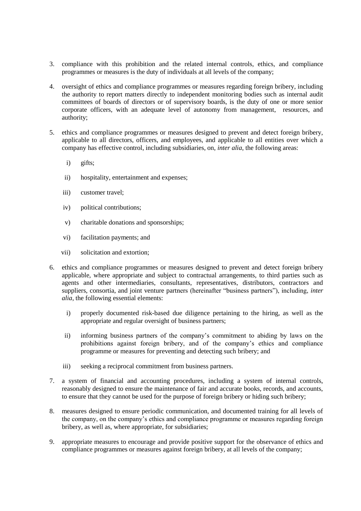- 3. compliance with this prohibition and the related internal controls, ethics, and compliance programmes or measures is the duty of individuals at all levels of the company;
- 4. oversight of ethics and compliance programmes or measures regarding foreign bribery, including the authority to report matters directly to independent monitoring bodies such as internal audit committees of boards of directors or of supervisory boards, is the duty of one or more senior corporate officers, with an adequate level of autonomy from management, resources, and authority;
- 5. ethics and compliance programmes or measures designed to prevent and detect foreign bribery, applicable to all directors, officers, and employees, and applicable to all entities over which a company has effective control, including subsidiaries, on, *inter alia*, the following areas:
	- i) gifts;
	- ii) hospitality, entertainment and expenses;
	- iii) customer travel;
	- iv) political contributions;
	- v) charitable donations and sponsorships;
	- vi) facilitation payments; and
	- vii) solicitation and extortion;
- 6. ethics and compliance programmes or measures designed to prevent and detect foreign bribery applicable, where appropriate and subject to contractual arrangements, to third parties such as agents and other intermediaries, consultants, representatives, distributors, contractors and suppliers, consortia, and joint venture partners (hereinafter "business partners"), including, *inter alia*, the following essential elements:
	- i) properly documented risk-based due diligence pertaining to the hiring, as well as the appropriate and regular oversight of business partners;
	- ii) informing business partners of the company's commitment to abiding by laws on the prohibitions against foreign bribery, and of the company's ethics and compliance programme or measures for preventing and detecting such bribery; and
	- iii) seeking a reciprocal commitment from business partners.
- 7. a system of financial and accounting procedures, including a system of internal controls, reasonably designed to ensure the maintenance of fair and accurate books, records, and accounts, to ensure that they cannot be used for the purpose of foreign bribery or hiding such bribery;
- 8. measures designed to ensure periodic communication, and documented training for all levels of the company, on the company's ethics and compliance programme or measures regarding foreign bribery, as well as, where appropriate, for subsidiaries;
- 9. appropriate measures to encourage and provide positive support for the observance of ethics and compliance programmes or measures against foreign bribery, at all levels of the company;